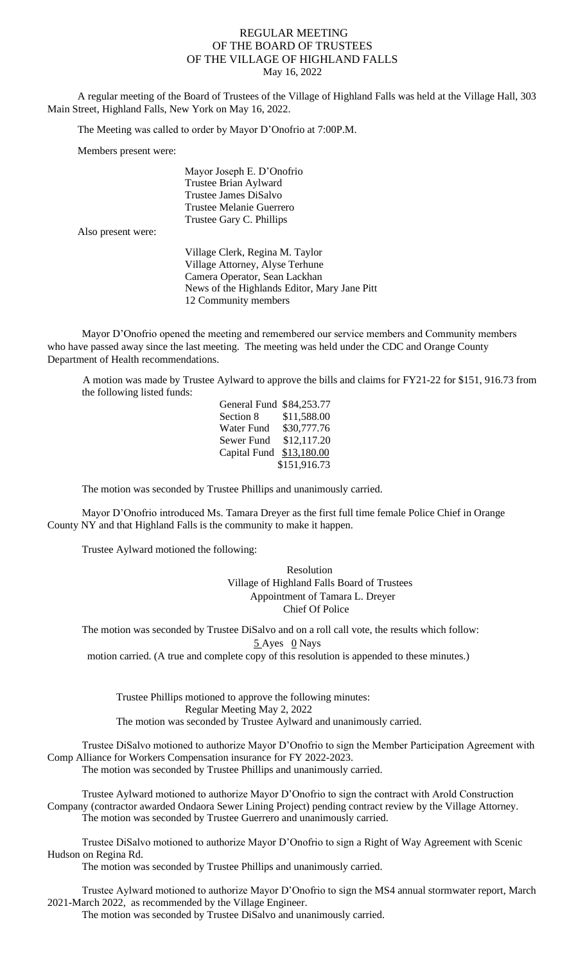## REGULAR MEETING OF THE BOARD OF TRUSTEES OF THE VILLAGE OF HIGHLAND FALLS May 16, 2022

A regular meeting of the Board of Trustees of the Village of Highland Falls was held at the Village Hall, 303 Main Street, Highland Falls, New York on May 16, 2022.

The Meeting was called to order by Mayor D'Onofrio at 7:00P.M.

Members present were:

 Mayor Joseph E. D'Onofrio Trustee Brian Aylward Trustee James DiSalvo Trustee Melanie Guerrero Trustee Gary C. Phillips

Also present were:

Village Clerk, Regina M. Taylor Village Attorney, Alyse Terhune Camera Operator, Sean Lackhan News of the Highlands Editor, Mary Jane Pitt 12 Community members

Mayor D'Onofrio opened the meeting and remembered our service members and Community members who have passed away since the last meeting. The meeting was held under the CDC and Orange County Department of Health recommendations.

A motion was made by Trustee Aylward to approve the bills and claims for FY21-22 for \$151, 916.73 from the following listed funds:

| General Fund \$84,253.77 |              |
|--------------------------|--------------|
| Section 8                | \$11,588.00  |
| Water Fund               | \$30,777.76  |
| Sewer Fund               | \$12,117.20  |
| Capital Fund             | \$13,180.00  |
|                          | \$151,916.73 |

The motion was seconded by Trustee Phillips and unanimously carried.

Mayor D'Onofrio introduced Ms. Tamara Dreyer as the first full time female Police Chief in Orange County NY and that Highland Falls is the community to make it happen.

Trustee Aylward motioned the following:

Resolution Village of Highland Falls Board of Trustees Appointment of Tamara L. Dreyer Chief Of Police

The motion was seconded by Trustee DiSalvo and on a roll call vote, the results which follow: 5 Ayes 0 Nays

motion carried. (A true and complete copy of this resolution is appended to these minutes.)

Trustee Phillips motioned to approve the following minutes: Regular Meeting May 2, 2022 The motion was seconded by Trustee Aylward and unanimously carried.

Trustee DiSalvo motioned to authorize Mayor D'Onofrio to sign the Member Participation Agreement with Comp Alliance for Workers Compensation insurance for FY 2022-2023. The motion was seconded by Trustee Phillips and unanimously carried.

Trustee Aylward motioned to authorize Mayor D'Onofrio to sign the contract with Arold Construction Company (contractor awarded Ondaora Sewer Lining Project) pending contract review by the Village Attorney. The motion was seconded by Trustee Guerrero and unanimously carried.

Trustee DiSalvo motioned to authorize Mayor D'Onofrio to sign a Right of Way Agreement with Scenic Hudson on Regina Rd.

The motion was seconded by Trustee Phillips and unanimously carried.

Trustee Aylward motioned to authorize Mayor D'Onofrio to sign the MS4 annual stormwater report, March 2021-March 2022, as recommended by the Village Engineer.

The motion was seconded by Trustee DiSalvo and unanimously carried.